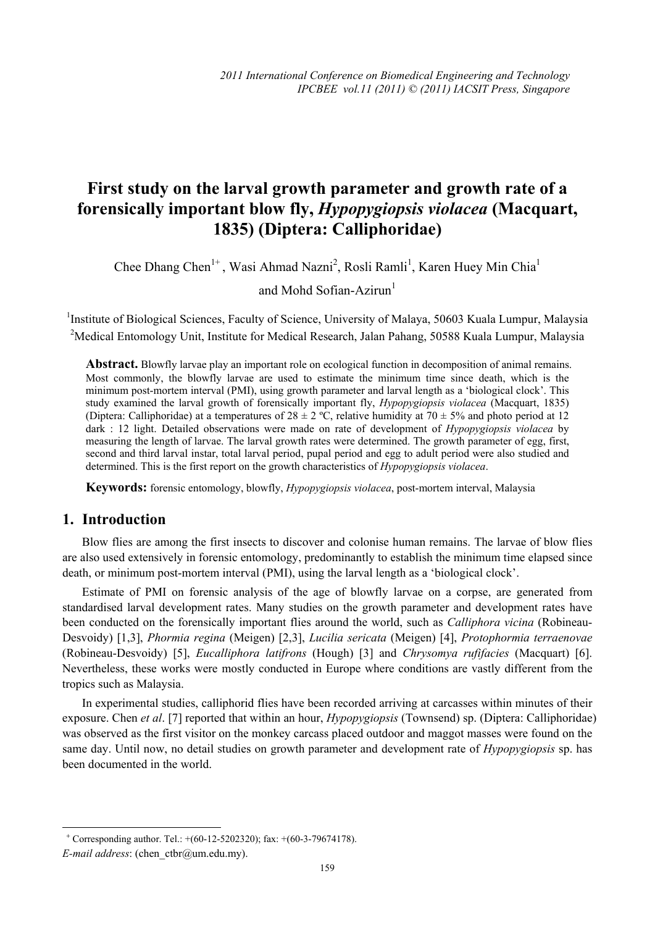# **First study on the larval growth parameter and growth rate of a forensically important blow fly,** *Hypopygiopsis violacea* **(Macquart, 1835) (Diptera: Calliphoridae)**

Chee Dhang Chen<sup>1+</sup>, Wasi Ahmad Nazni<sup>2</sup>, Rosli Ramli<sup>1</sup>, Karen Huey Min Chia<sup>1</sup>

and Mohd Sofian-Azirun $<sup>1</sup>$ </sup>

<sup>1</sup>Institute of Biological Sciences, Faculty of Science, University of Malaya, 50603 Kuala Lumpur, Malaysia <sup>2</sup>Medical Entomology Unit, Institute for Medical Research, Jalan Pahang, 50588 Kuala Lumpur, Malaysia

**Abstract.** Blowfly larvae play an important role on ecological function in decomposition of animal remains. Most commonly, the blowfly larvae are used to estimate the minimum time since death, which is the minimum post-mortem interval (PMI), using growth parameter and larval length as a 'biological clock'. This study examined the larval growth of forensically important fly, *Hypopygiopsis violacea* (Macquart, 1835) (Diptera: Calliphoridae) at a temperatures of  $28 \pm 2$  °C, relative humidity at  $70 \pm 5\%$  and photo period at 12 dark : 12 light. Detailed observations were made on rate of development of *Hypopygiopsis violacea* by measuring the length of larvae. The larval growth rates were determined. The growth parameter of egg, first, second and third larval instar, total larval period, pupal period and egg to adult period were also studied and determined. This is the first report on the growth characteristics of *Hypopygiopsis violacea*.

**Keywords:** forensic entomology, blowfly, *Hypopygiopsis violacea*, post-mortem interval, Malaysia

## **1. Introduction**

Blow flies are among the first insects to discover and colonise human remains. The larvae of blow flies are also used extensively in forensic entomology, predominantly to establish the minimum time elapsed since death, or minimum post-mortem interval (PMI), using the larval length as a 'biological clock'.

Estimate of PMI on forensic analysis of the age of blowfly larvae on a corpse, are generated from standardised larval development rates. Many studies on the growth parameter and development rates have been conducted on the forensically important flies around the world, such as *Calliphora vicina* (Robineau-Desvoidy) [1,3], *Phormia regina* (Meigen) [2,3], *Lucilia sericata* (Meigen) [4], *Protophormia terraenovae* (Robineau-Desvoidy) [5], *Eucalliphora latifrons* (Hough) [3] and *Chrysomya rufifacies* (Macquart) [6]. Nevertheless, these works were mostly conducted in Europe where conditions are vastly different from the tropics such as Malaysia.

In experimental studies, calliphorid flies have been recorded arriving at carcasses within minutes of their exposure. Chen *et al*. [7] reported that within an hour, *Hypopygiopsis* (Townsend) sp. (Diptera: Calliphoridae) was observed as the first visitor on the monkey carcass placed outdoor and maggot masses were found on the same day. Until now, no detail studies on growth parameter and development rate of *Hypopygiopsis* sp. has been documented in the world.

 $\overline{a}$ 

<sup>+</sup> Corresponding author. Tel.: +(60-12-5202320); fax: +(60-3-79674178).

*E-mail address*: (chen\_ctbr@um.edu.my).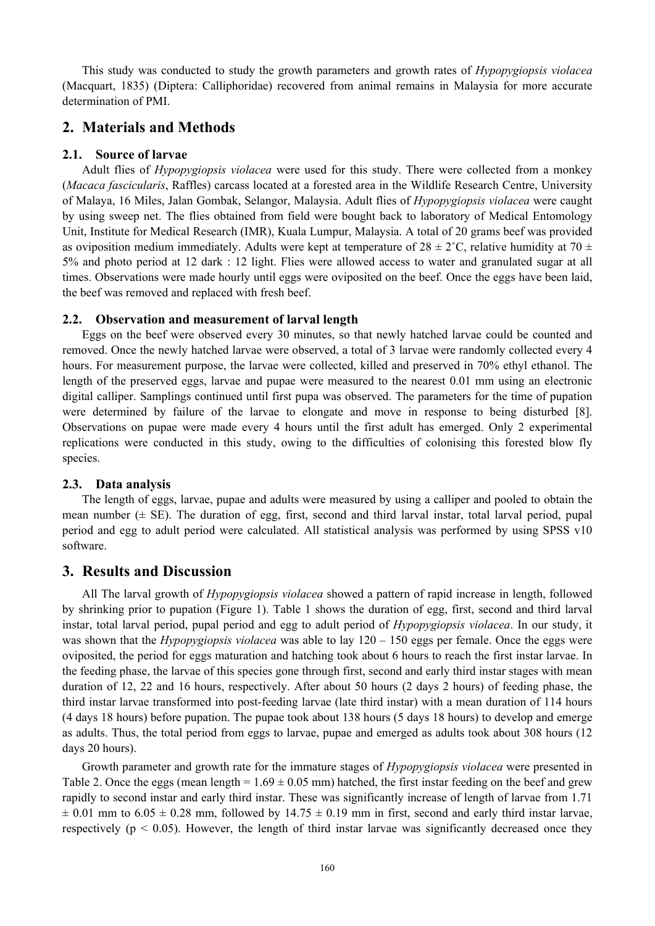This study was conducted to study the growth parameters and growth rates of *Hypopygiopsis violacea* (Macquart, 1835) (Diptera: Calliphoridae) recovered from animal remains in Malaysia for more accurate determination of PMI.

# **2. Materials and Methods**

#### **2.1. Source of larvae**

Adult flies of *Hypopygiopsis violacea* were used for this study. There were collected from a monkey (*Macaca fascicularis*, Raffles) carcass located at a forested area in the Wildlife Research Centre, University of Malaya, 16 Miles, Jalan Gombak, Selangor, Malaysia. Adult flies of *Hypopygiopsis violacea* were caught by using sweep net. The flies obtained from field were bought back to laboratory of Medical Entomology Unit, Institute for Medical Research (IMR), Kuala Lumpur, Malaysia. A total of 20 grams beef was provided as oviposition medium immediately. Adults were kept at temperature of  $28 \pm 2$ °C, relative humidity at 70  $\pm$ 5% and photo period at 12 dark : 12 light. Flies were allowed access to water and granulated sugar at all times. Observations were made hourly until eggs were oviposited on the beef. Once the eggs have been laid, the beef was removed and replaced with fresh beef.

#### **2.2. Observation and measurement of larval length**

Eggs on the beef were observed every 30 minutes, so that newly hatched larvae could be counted and removed. Once the newly hatched larvae were observed, a total of 3 larvae were randomly collected every 4 hours. For measurement purpose, the larvae were collected, killed and preserved in 70% ethyl ethanol. The length of the preserved eggs, larvae and pupae were measured to the nearest 0.01 mm using an electronic digital calliper. Samplings continued until first pupa was observed. The parameters for the time of pupation were determined by failure of the larvae to elongate and move in response to being disturbed [8]. Observations on pupae were made every 4 hours until the first adult has emerged. Only 2 experimental replications were conducted in this study, owing to the difficulties of colonising this forested blow fly species.

#### **2.3. Data analysis**

The length of eggs, larvae, pupae and adults were measured by using a calliper and pooled to obtain the mean number  $(\pm S$ E). The duration of egg, first, second and third larval instar, total larval period, pupal period and egg to adult period were calculated. All statistical analysis was performed by using SPSS v10 software.

## **3. Results and Discussion**

All The larval growth of *Hypopygiopsis violacea* showed a pattern of rapid increase in length, followed by shrinking prior to pupation (Figure 1). Table 1 shows the duration of egg, first, second and third larval instar, total larval period, pupal period and egg to adult period of *Hypopygiopsis violacea*. In our study, it was shown that the *Hypopygiopsis violacea* was able to lay 120 – 150 eggs per female. Once the eggs were oviposited, the period for eggs maturation and hatching took about 6 hours to reach the first instar larvae. In the feeding phase, the larvae of this species gone through first, second and early third instar stages with mean duration of 12, 22 and 16 hours, respectively. After about 50 hours (2 days 2 hours) of feeding phase, the third instar larvae transformed into post-feeding larvae (late third instar) with a mean duration of 114 hours (4 days 18 hours) before pupation. The pupae took about 138 hours (5 days 18 hours) to develop and emerge as adults. Thus, the total period from eggs to larvae, pupae and emerged as adults took about 308 hours (12 days 20 hours).

Growth parameter and growth rate for the immature stages of *Hypopygiopsis violacea* were presented in Table 2. Once the eggs (mean length =  $1.69 \pm 0.05$  mm) hatched, the first instar feeding on the beef and grew rapidly to second instar and early third instar. These was significantly increase of length of larvae from 1.71  $\pm$  0.01 mm to 6.05  $\pm$  0.28 mm, followed by 14.75  $\pm$  0.19 mm in first, second and early third instar larvae, respectively ( $p < 0.05$ ). However, the length of third instar larvae was significantly decreased once they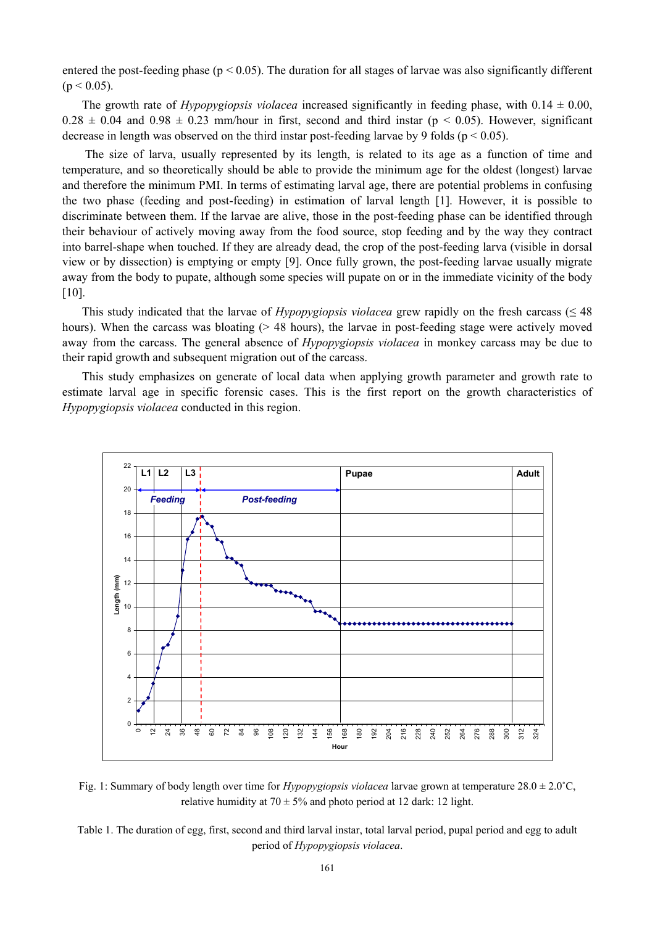entered the post-feeding phase ( $p < 0.05$ ). The duration for all stages of larvae was also significantly different  $(p < 0.05)$ .

The growth rate of *Hypopygiopsis violacea* increased significantly in feeding phase, with  $0.14 \pm 0.00$ ,  $0.28 \pm 0.04$  and  $0.98 \pm 0.23$  mm/hour in first, second and third instar ( $p < 0.05$ ). However, significant decrease in length was observed on the third instar post-feeding larvae by 9 folds ( $p < 0.05$ ).

 The size of larva, usually represented by its length, is related to its age as a function of time and temperature, and so theoretically should be able to provide the minimum age for the oldest (longest) larvae and therefore the minimum PMI. In terms of estimating larval age, there are potential problems in confusing the two phase (feeding and post-feeding) in estimation of larval length [1]. However, it is possible to discriminate between them. If the larvae are alive, those in the post-feeding phase can be identified through their behaviour of actively moving away from the food source, stop feeding and by the way they contract into barrel-shape when touched. If they are already dead, the crop of the post-feeding larva (visible in dorsal view or by dissection) is emptying or empty [9]. Once fully grown, the post-feeding larvae usually migrate away from the body to pupate, although some species will pupate on or in the immediate vicinity of the body [10].

This study indicated that the larvae of *Hypopygiopsis violacea* grew rapidly on the fresh carcass ( $\leq 48$ ) hours). When the carcass was bloating  $(> 48$  hours), the larvae in post-feeding stage were actively moved away from the carcass. The general absence of *Hypopygiopsis violacea* in monkey carcass may be due to their rapid growth and subsequent migration out of the carcass.

This study emphasizes on generate of local data when applying growth parameter and growth rate to estimate larval age in specific forensic cases. This is the first report on the growth characteristics of *Hypopygiopsis violacea* conducted in this region.



Fig. 1: Summary of body length over time for *Hypopygiopsis violacea* larvae grown at temperature 28.0 ± 2.0˚C, relative humidity at  $70 \pm 5\%$  and photo period at 12 dark: 12 light.

Table 1. The duration of egg, first, second and third larval instar, total larval period, pupal period and egg to adult period of *Hypopygiopsis violacea*.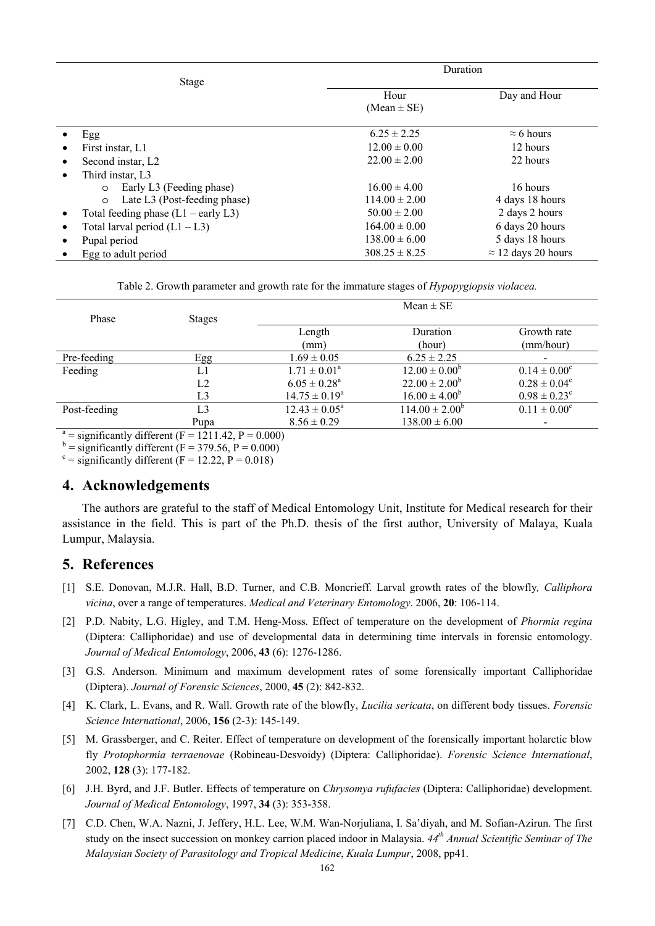|                                                    | Duration          |                            |  |
|----------------------------------------------------|-------------------|----------------------------|--|
| Stage                                              |                   |                            |  |
|                                                    | Hour              | Day and Hour               |  |
|                                                    | $(Mean \pm SE)$   |                            |  |
| Egg                                                | $6.25 \pm 2.25$   | $\approx$ 6 hours          |  |
| First instar, L1                                   | $12.00 \pm 0.00$  | 12 hours                   |  |
| Second instar, L <sub>2</sub><br>$\bullet$         | $22.00 \pm 2.00$  | 22 hours                   |  |
| Third instar, L3                                   |                   |                            |  |
| Early L3 (Feeding phase)<br>$\circ$                | $16.00 \pm 4.00$  | 16 hours                   |  |
| Late L3 (Post-feeding phase)<br>$\circ$            | $114.00 \pm 2.00$ | 4 days 18 hours            |  |
| Total feeding phase $(L1 - \text{early } L3)$<br>٠ | $50.00 \pm 2.00$  | 2 days 2 hours             |  |
| Total larval period $(L1 - L3)$<br>$\bullet$       | $164.00 \pm 0.00$ | 6 days 20 hours            |  |
| Pupal period                                       | $138.00 \pm 6.00$ | 5 days 18 hours            |  |
| Egg to adult period                                | $308.25 \pm 8.25$ | $\approx$ 12 days 20 hours |  |

|  | Table 2. Growth parameter and growth rate for the immature stages of <i>Hypopygiopsis violacea</i> . |
|--|------------------------------------------------------------------------------------------------------|
|  |                                                                                                      |

|              |                                                        |                    | $Mean \pm SE$       |                         |
|--------------|--------------------------------------------------------|--------------------|---------------------|-------------------------|
| Phase        | <b>Stages</b>                                          |                    |                     |                         |
|              |                                                        | Length             | Duration            | Growth rate             |
|              |                                                        | (mm)               | (hour)              | (mm/hour)               |
| Pre-feeding  | Egg                                                    | $1.69 \pm 0.05$    | $6.25 \pm 2.25$     |                         |
| Feeding      | L1                                                     | $1.71 \pm 0.01^a$  | $12.00 \pm 0.00^b$  | $0.14 \pm 0.00^{\circ}$ |
|              | L2                                                     | $6.05 \pm 0.28^a$  | $22.00 \pm 2.00^b$  | $0.28 \pm 0.04^c$       |
|              | L3                                                     | $14.75 \pm 0.19^a$ | $16.00 \pm 4.00^b$  | $0.98 \pm 0.23^{\circ}$ |
| Post-feeding | L <sub>3</sub>                                         | $12.43 \pm 0.05^a$ | $114.00 \pm 2.00^b$ | $0.11 \pm 0.00^c$       |
|              | Pupa                                                   | $8.56 \pm 0.29$    | $138.00 \pm 6.00$   | $\qquad \qquad$         |
|              | $a =$ significantly different (F = 1211.42, P = 0.000) |                    |                     |                         |

 $b =$  significantly different (F = 379.56, P = 0.000)

 $c$  = significantly different (F = 12.22, P = 0.018)

#### **4. Acknowledgements**

The authors are grateful to the staff of Medical Entomology Unit, Institute for Medical research for their assistance in the field. This is part of the Ph.D. thesis of the first author, University of Malaya, Kuala Lumpur, Malaysia.

# **5. References**

- [1] S.E. Donovan, M.J.R. Hall, B.D. Turner, and C.B. Moncrieff. Larval growth rates of the blowfly*, Calliphora vicina*, over a range of temperatures. *Medical and Veterinary Entomology*. 2006, **20**: 106-114.
- [2] P.D. Nabity, L.G. Higley, and T.M. Heng-Moss. Effect of temperature on the development of *Phormia regina* (Diptera: Calliphoridae) and use of developmental data in determining time intervals in forensic entomology. *Journal of Medical Entomology*, 2006, **43** (6): 1276-1286.
- [3] G.S. Anderson. Minimum and maximum development rates of some forensically important Calliphoridae (Diptera). *Journal of Forensic Sciences*, 2000, **45** (2): 842-832.
- [4] K. Clark, L. Evans, and R. Wall. Growth rate of the blowfly, *Lucilia sericata*, on different body tissues. *Forensic Science International*, 2006, **156** (2-3): 145-149.
- [5] M. Grassberger, and C. Reiter. Effect of temperature on development of the forensically important holarctic blow fly *Protophormia terraenovae* (Robineau-Desvoidy) (Diptera: Calliphoridae). *Forensic Science International*, 2002, **128** (3): 177-182.
- [6] J.H. Byrd, and J.F. Butler. Effects of temperature on *Chrysomya rufufacies* (Diptera: Calliphoridae) development. *Journal of Medical Entomology*, 1997, **34** (3): 353-358.
- [7] C.D. Chen, W.A. Nazni, J. Jeffery, H.L. Lee, W.M. Wan-Norjuliana, I. Sa'diyah, and M. Sofian-Azirun. The first study on the insect succession on monkey carrion placed indoor in Malaysia. *44th Annual Scientific Seminar of The Malaysian Society of Parasitology and Tropical Medicine*, *Kuala Lumpur*, 2008, pp41.